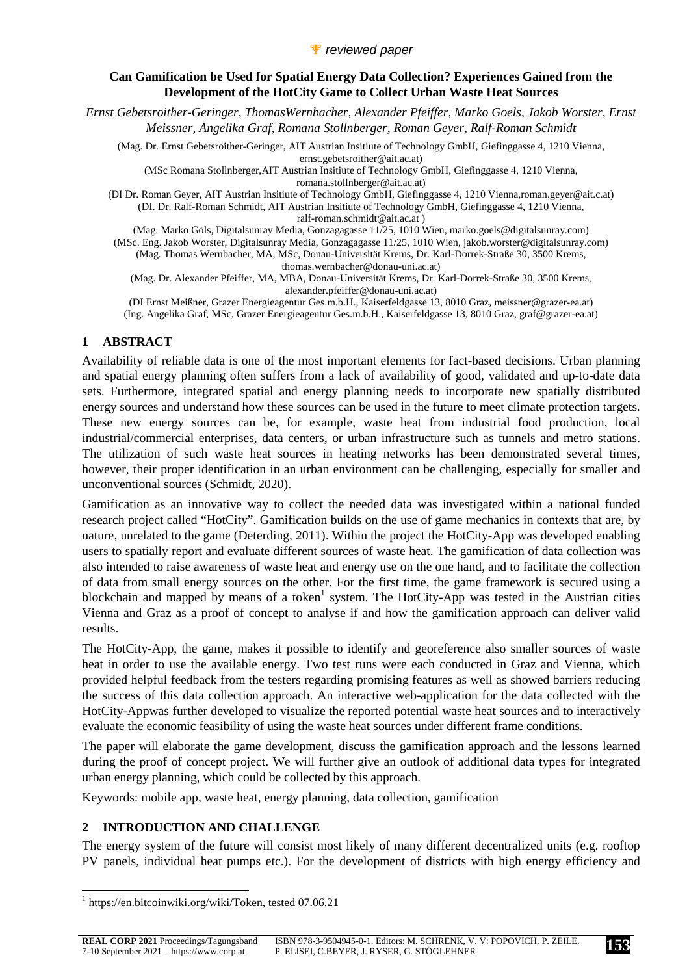*Ernst Gebetsroither-Geringer, ThomasWernbacher, Alexander Pfeiffer, Marko Goels, Jakob Worster, Ernst Meissner, Angelika Graf, Romana Stollnberger, Roman Geyer, Ralf-Roman Schmidt* 

(Mag. Dr. Ernst Gebetsroither-Geringer, AIT Austrian Insitiute of Technology GmbH, Giefinggasse 4, 1210 Vienna, ernst.gebetsroither@ait.ac.at)

(MSc Romana Stollnberger,AIT Austrian Insitiute of Technology GmbH, Giefinggasse 4, 1210 Vienna, romana.stollnberger@ait.ac.at)

(DI Dr. Roman Geyer, AIT Austrian Insitiute of Technology GmbH, Giefinggasse 4, 1210 Vienna,roman.geyer@ait.c.at) (DI. Dr. Ralf-Roman Schmidt, AIT Austrian Insitiute of Technology GmbH, Giefinggasse 4, 1210 Vienna, ralf-roman.schmidt@ait.ac.at )

(Mag. Marko Göls, Digitalsunray Media, Gonzagagasse 11/25, 1010 Wien, marko.goels@digitalsunray.com) (MSc. Eng. Jakob Worster, Digitalsunray Media, Gonzagagasse 11/25, 1010 Wien, jakob.worster@digitalsunray.com) (Mag. Thomas Wernbacher, MA, MSc, Donau-Universität Krems, Dr. Karl-Dorrek-Straße 30, 3500 Krems,

thomas.wernbacher@donau-uni.ac.at)

(Mag. Dr. Alexander Pfeiffer, MA, MBA, Donau-Universität Krems, Dr. Karl-Dorrek-Straße 30, 3500 Krems, alexander.pfeiffer@donau-uni.ac.at)

(DI Ernst Meißner, Grazer Energieagentur Ges.m.b.H., Kaiserfeldgasse 13, 8010 Graz, meissner@grazer-ea.at) (Ing. Angelika Graf, MSc, Grazer Energieagentur Ges.m.b.H., Kaiserfeldgasse 13, 8010 Graz, graf@grazer-ea.at)

## **1 ABSTRACT**

Availability of reliable data is one of the most important elements for fact-based decisions. Urban planning and spatial energy planning often suffers from a lack of availability of good, validated and up-to-date data sets. Furthermore, integrated spatial and energy planning needs to incorporate new spatially distributed energy sources and understand how these sources can be used in the future to meet climate protection targets. These new energy sources can be, for example, waste heat from industrial food production, local industrial/commercial enterprises, data centers, or urban infrastructure such as tunnels and metro stations. The utilization of such waste heat sources in heating networks has been demonstrated several times, however, their proper identification in an urban environment can be challenging, especially for smaller and unconventional sources (Schmidt, 2020).

Gamification as an innovative way to collect the needed data was investigated within a national funded research project called "HotCity". Gamification builds on the use of game mechanics in contexts that are, by nature, unrelated to the game (Deterding, 2011). Within the project the HotCity-App was developed enabling users to spatially report and evaluate different sources of waste heat. The gamification of data collection was also intended to raise awareness of waste heat and energy use on the one hand, and to facilitate the collection of data from small energy sources on the other. For the first time, the game framework is secured using a blockchain and mapped by means of a token<sup>1</sup> system. The HotCity-App was tested in the Austrian cities Vienna and Graz as a proof of concept to analyse if and how the gamification approach can deliver valid results.

The HotCity-App, the game, makes it possible to identify and georeference also smaller sources of waste heat in order to use the available energy. Two test runs were each conducted in Graz and Vienna, which provided helpful feedback from the testers regarding promising features as well as showed barriers reducing the success of this data collection approach. An interactive web-application for the data collected with the HotCity-Appwas further developed to visualize the reported potential waste heat sources and to interactively evaluate the economic feasibility of using the waste heat sources under different frame conditions.

The paper will elaborate the game development, discuss the gamification approach and the lessons learned during the proof of concept project. We will further give an outlook of additional data types for integrated urban energy planning, which could be collected by this approach.

Keywords: mobile app, waste heat, energy planning, data collection, gamification

## **2 INTRODUCTION AND CHALLENGE**

The energy system of the future will consist most likely of many different decentralized units (e.g. rooftop PV panels, individual heat pumps etc.). For the development of districts with high energy efficiency and

<sup>&</sup>lt;sup>1</sup> https://en.bitcoinwiki.org/wiki/Token, tested 07.06.21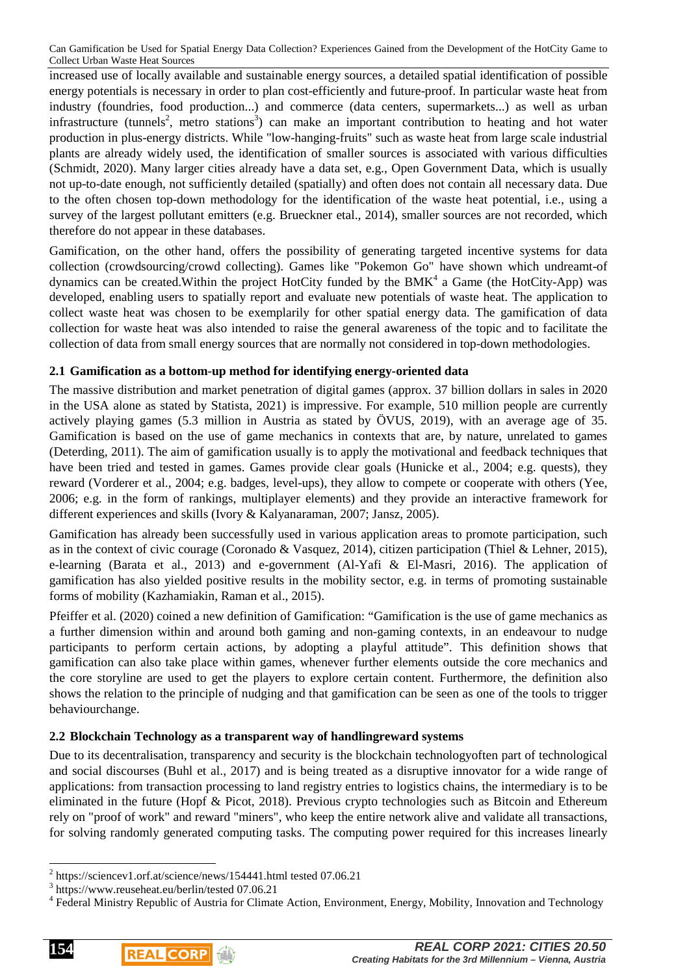increased use of locally available and sustainable energy sources, a detailed spatial identification of possible energy potentials is necessary in order to plan cost-efficiently and future-proof. In particular waste heat from industry (foundries, food production...) and commerce (data centers, supermarkets...) as well as urban infrastructure (tunnels<sup>2</sup>, metro stations<sup>3</sup>) can make an important contribution to heating and hot water production in plus-energy districts. While "low-hanging-fruits" such as waste heat from large scale industrial plants are already widely used, the identification of smaller sources is associated with various difficulties (Schmidt, 2020). Many larger cities already have a data set, e.g., Open Government Data, which is usually not up-to-date enough, not sufficiently detailed (spatially) and often does not contain all necessary data. Due to the often chosen top-down methodology for the identification of the waste heat potential, i.e., using a survey of the largest pollutant emitters (e.g. Brueckner etal., 2014), smaller sources are not recorded, which therefore do not appear in these databases.

Gamification, on the other hand, offers the possibility of generating targeted incentive systems for data collection (crowdsourcing/crowd collecting). Games like "Pokemon Go" have shown which undreamt-of dynamics can be created. Within the project HotCity funded by the BMK $4$  a Game (the HotCity-App) was developed, enabling users to spatially report and evaluate new potentials of waste heat. The application to collect waste heat was chosen to be exemplarily for other spatial energy data. The gamification of data collection for waste heat was also intended to raise the general awareness of the topic and to facilitate the collection of data from small energy sources that are normally not considered in top-down methodologies.

## **2.1 Gamification as a bottom-up method for identifying energy-oriented data**

The massive distribution and market penetration of digital games (approx. 37 billion dollars in sales in 2020 in the USA alone as stated by Statista, 2021) is impressive. For example, 510 million people are currently actively playing games (5.3 million in Austria as stated by ÖVUS, 2019), with an average age of 35. Gamification is based on the use of game mechanics in contexts that are, by nature, unrelated to games (Deterding, 2011). The aim of gamification usually is to apply the motivational and feedback techniques that have been tried and tested in games. Games provide clear goals (Hunicke et al., 2004; e.g. quests), they reward (Vorderer et al., 2004; e.g. badges, level-ups), they allow to compete or cooperate with others (Yee, 2006; e.g. in the form of rankings, multiplayer elements) and they provide an interactive framework for different experiences and skills (Ivory & Kalyanaraman, 2007; Jansz, 2005).

Gamification has already been successfully used in various application areas to promote participation, such as in the context of civic courage (Coronado & Vasquez, 2014), citizen participation (Thiel & Lehner, 2015), e-learning (Barata et al., 2013) and e-government (Al-Yafi & El-Masri, 2016). The application of gamification has also yielded positive results in the mobility sector, e.g. in terms of promoting sustainable forms of mobility (Kazhamiakin, Raman et al., 2015).

Pfeiffer et al. (2020) coined a new definition of Gamification: "Gamification is the use of game mechanics as a further dimension within and around both gaming and non-gaming contexts, in an endeavour to nudge participants to perform certain actions, by adopting a playful attitude". This definition shows that gamification can also take place within games, whenever further elements outside the core mechanics and the core storyline are used to get the players to explore certain content. Furthermore, the definition also shows the relation to the principle of nudging and that gamification can be seen as one of the tools to trigger behaviourchange.

#### **2.2 Blockchain Technology as a transparent way of handlingreward systems**

Due to its decentralisation, transparency and security is the blockchain technologyoften part of technological and social discourses (Buhl et al., 2017) and is being treated as a disruptive innovator for a wide range of applications: from transaction processing to land registry entries to logistics chains, the intermediary is to be eliminated in the future (Hopf & Picot, 2018). Previous crypto technologies such as Bitcoin and Ethereum rely on "proof of work" and reward "miners", who keep the entire network alive and validate all transactions, for solving randomly generated computing tasks. The computing power required for this increases linearly



 2 https://sciencev1.orf.at/science/news/154441.html tested 07.06.21

<sup>3</sup> https://www.reuseheat.eu/berlin/tested 07.06.21

<sup>&</sup>lt;sup>4</sup> Federal Ministry Republic of Austria for Climate Action, Environment, Energy, Mobility, Innovation and Technology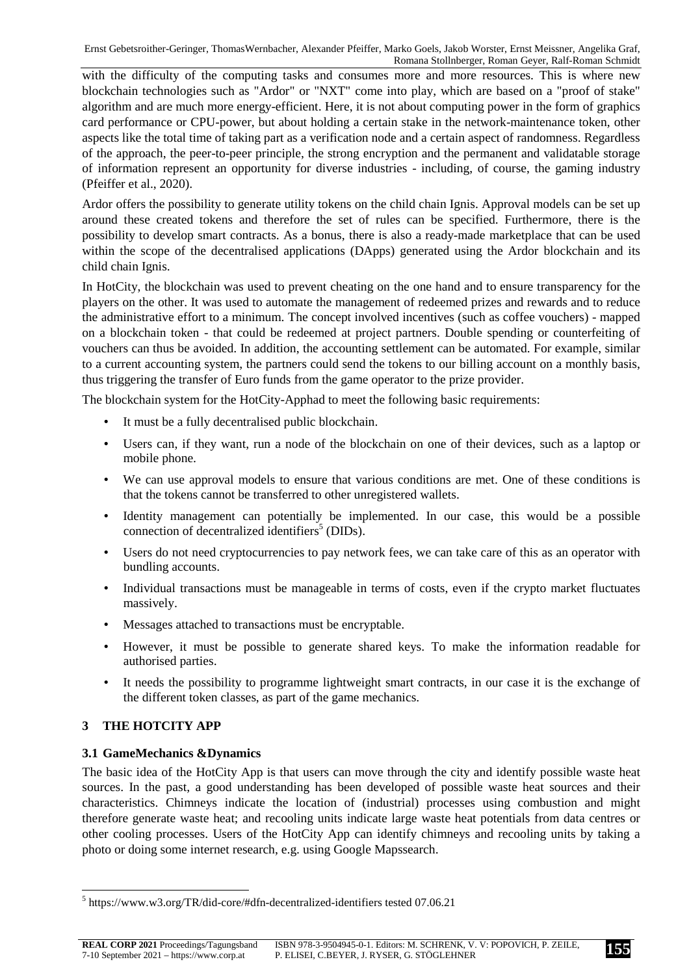with the difficulty of the computing tasks and consumes more and more resources. This is where new blockchain technologies such as "Ardor" or "NXT" come into play, which are based on a "proof of stake" algorithm and are much more energy-efficient. Here, it is not about computing power in the form of graphics card performance or CPU-power, but about holding a certain stake in the network-maintenance token, other aspects like the total time of taking part as a verification node and a certain aspect of randomness. Regardless of the approach, the peer-to-peer principle, the strong encryption and the permanent and validatable storage of information represent an opportunity for diverse industries - including, of course, the gaming industry (Pfeiffer et al., 2020).

Ardor offers the possibility to generate utility tokens on the child chain Ignis. Approval models can be set up around these created tokens and therefore the set of rules can be specified. Furthermore, there is the possibility to develop smart contracts. As a bonus, there is also a ready-made marketplace that can be used within the scope of the decentralised applications (DApps) generated using the Ardor blockchain and its child chain Ignis.

In HotCity, the blockchain was used to prevent cheating on the one hand and to ensure transparency for the players on the other. It was used to automate the management of redeemed prizes and rewards and to reduce the administrative effort to a minimum. The concept involved incentives (such as coffee vouchers) - mapped on a blockchain token - that could be redeemed at project partners. Double spending or counterfeiting of vouchers can thus be avoided. In addition, the accounting settlement can be automated. For example, similar to a current accounting system, the partners could send the tokens to our billing account on a monthly basis, thus triggering the transfer of Euro funds from the game operator to the prize provider.

The blockchain system for the HotCity-Apphad to meet the following basic requirements:

- It must be a fully decentralised public blockchain.
- Users can, if they want, run a node of the blockchain on one of their devices, such as a laptop or mobile phone.
- We can use approval models to ensure that various conditions are met. One of these conditions is that the tokens cannot be transferred to other unregistered wallets.
- Identity management can potentially be implemented. In our case, this would be a possible connection of decentralized identifiers<sup>5</sup> (DIDs).
- Users do not need cryptocurrencies to pay network fees, we can take care of this as an operator with bundling accounts.
- Individual transactions must be manageable in terms of costs, even if the crypto market fluctuates massively.
- Messages attached to transactions must be encryptable.
- However, it must be possible to generate shared keys. To make the information readable for authorised parties.
- It needs the possibility to programme lightweight smart contracts, in our case it is the exchange of the different token classes, as part of the game mechanics.

## **3 THE HOTCITY APP**

 $\overline{a}$ 

## **3.1 GameMechanics &Dynamics**

The basic idea of the HotCity App is that users can move through the city and identify possible waste heat sources. In the past, a good understanding has been developed of possible waste heat sources and their characteristics. Chimneys indicate the location of (industrial) processes using combustion and might therefore generate waste heat; and recooling units indicate large waste heat potentials from data centres or other cooling processes. Users of the HotCity App can identify chimneys and recooling units by taking a photo or doing some internet research, e.g. using Google Mapssearch.

<sup>&</sup>lt;sup>5</sup> https://www.w3.org/TR/did-core/#dfn-decentralized-identifiers tested 07.06.21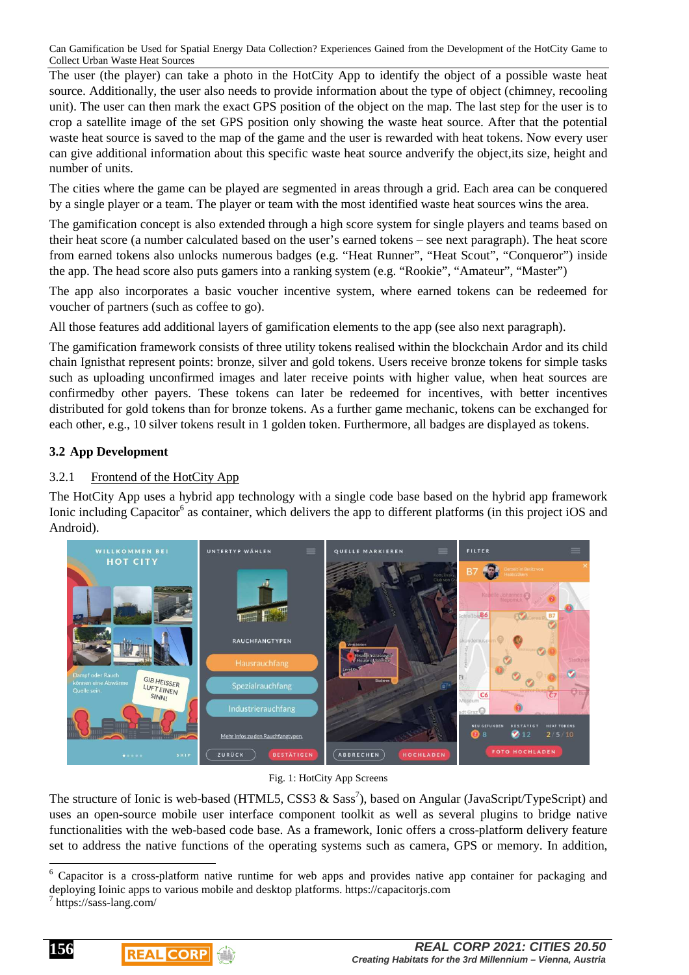The user (the player) can take a photo in the HotCity App to identify the object of a possible waste heat source. Additionally, the user also needs to provide information about the type of object (chimney, recooling unit). The user can then mark the exact GPS position of the object on the map. The last step for the user is to crop a satellite image of the set GPS position only showing the waste heat source. After that the potential waste heat source is saved to the map of the game and the user is rewarded with heat tokens. Now every user can give additional information about this specific waste heat source andverify the object,its size, height and number of units.

The cities where the game can be played are segmented in areas through a grid. Each area can be conquered by a single player or a team. The player or team with the most identified waste heat sources wins the area.

The gamification concept is also extended through a high score system for single players and teams based on their heat score (a number calculated based on the user's earned tokens – see next paragraph). The heat score from earned tokens also unlocks numerous badges (e.g. "Heat Runner", "Heat Scout", "Conqueror") inside the app. The head score also puts gamers into a ranking system (e.g. "Rookie", "Amateur", "Master")

The app also incorporates a basic voucher incentive system, where earned tokens can be redeemed for voucher of partners (such as coffee to go).

All those features add additional layers of gamification elements to the app (see also next paragraph).

The gamification framework consists of three utility tokens realised within the blockchain Ardor and its child chain Ignisthat represent points: bronze, silver and gold tokens. Users receive bronze tokens for simple tasks such as uploading unconfirmed images and later receive points with higher value, when heat sources are confirmedby other payers. These tokens can later be redeemed for incentives, with better incentives distributed for gold tokens than for bronze tokens. As a further game mechanic, tokens can be exchanged for each other, e.g., 10 silver tokens result in 1 golden token. Furthermore, all badges are displayed as tokens.

# **3.2 App Development**

# 3.2.1 Frontend of the HotCity App

The HotCity App uses a hybrid app technology with a single code base based on the hybrid app framework Ionic including Capacitor<sup>6</sup> as container, which delivers the app to different platforms (in this project iOS and Android).



#### Fig. 1: HotCity App Screens

The structure of Ionic is web-based (HTML5, CSS3  $\&$  Sass<sup>7</sup>), based on Angular (JavaScript/TypeScript) and uses an open-source mobile user interface component toolkit as well as several plugins to bridge native functionalities with the web-based code base. As a framework, Ionic offers a cross-platform delivery feature set to address the native functions of the operating systems such as camera, GPS or memory. In addition,

**156**



l <sup>6</sup> Capacitor is a cross-platform native runtime for web apps and provides native app container for packaging and deploying Ioinic apps to various mobile and desktop platforms. https://capacitorjs.com

<sup>7</sup> https://sass-lang.com/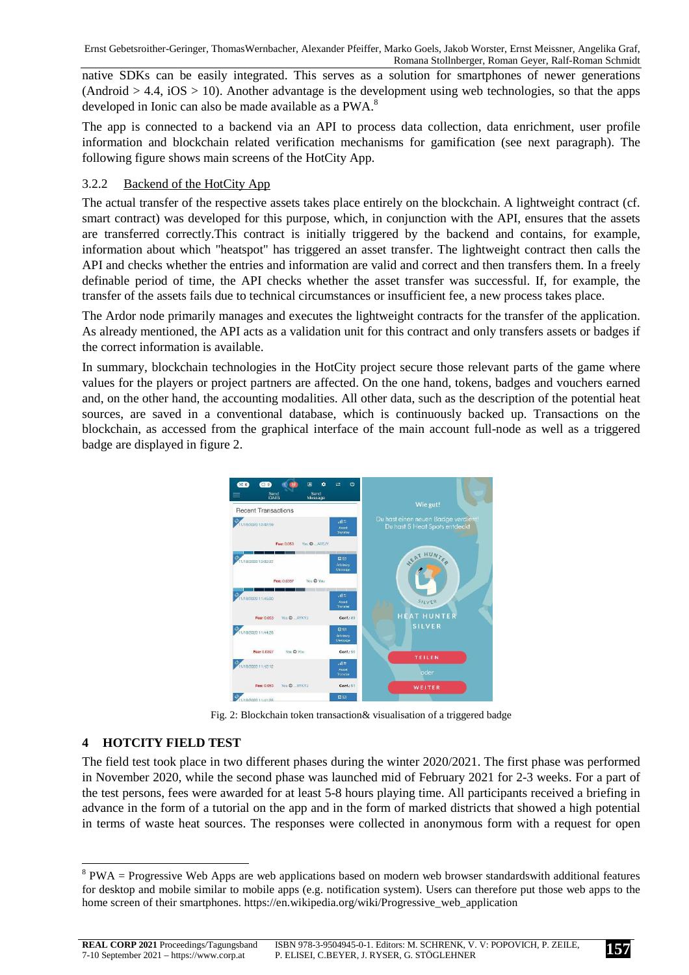native SDKs can be easily integrated. This serves as a solution for smartphones of newer generations  $(Android > 4.4, iOS > 10)$ . Another advantage is the development using web technologies, so that the apps developed in Ionic can also be made available as a PWA.<sup>8</sup>

The app is connected to a backend via an API to process data collection, data enrichment, user profile information and blockchain related verification mechanisms for gamification (see next paragraph). The following figure shows main screens of the HotCity App.

## 3.2.2 Backend of the HotCity App

The actual transfer of the respective assets takes place entirely on the blockchain. A lightweight contract (cf. smart contract) was developed for this purpose, which, in conjunction with the API, ensures that the assets are transferred correctly.This contract is initially triggered by the backend and contains, for example, information about which "heatspot" has triggered an asset transfer. The lightweight contract then calls the API and checks whether the entries and information are valid and correct and then transfers them. In a freely definable period of time, the API checks whether the asset transfer was successful. If, for example, the transfer of the assets fails due to technical circumstances or insufficient fee, a new process takes place.

The Ardor node primarily manages and executes the lightweight contracts for the transfer of the application. As already mentioned, the API acts as a validation unit for this contract and only transfers assets or badges if the correct information is available.

In summary, blockchain technologies in the HotCity project secure those relevant parts of the game where values for the players or project partners are affected. On the one hand, tokens, badges and vouchers earned and, on the other hand, the accounting modalities. All other data, such as the description of the potential heat sources, are saved in a conventional database, which is continuously backed up. Transactions on the blockchain, as accessed from the graphical interface of the main account full-node as well as a triggered badge are displayed in figure 2.



Fig. 2: Blockchain token transaction& visualisation of a triggered badge

# **4 HOTCITY FIELD TEST**

l

The field test took place in two different phases during the winter 2020/2021. The first phase was performed in November 2020, while the second phase was launched mid of February 2021 for 2-3 weeks. For a part of the test persons, fees were awarded for at least 5-8 hours playing time. All participants received a briefing in advance in the form of a tutorial on the app and in the form of marked districts that showed a high potential in terms of waste heat sources. The responses were collected in anonymous form with a request for open

 $8$  PWA = Progressive Web Apps are web applications based on modern web browser standardswith additional features for desktop and mobile similar to mobile apps (e.g. notification system). Users can therefore put those web apps to the home screen of their smartphones. https://en.wikipedia.org/wiki/Progressive\_web\_application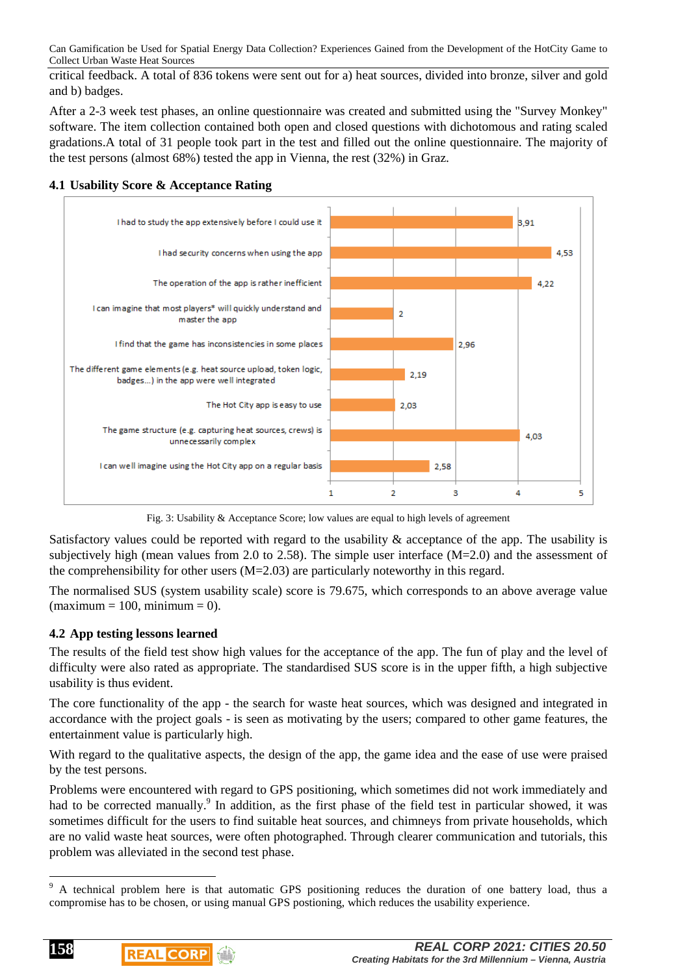critical feedback. A total of 836 tokens were sent out for a) heat sources, divided into bronze, silver and gold and b) badges.

After a 2-3 week test phases, an online questionnaire was created and submitted using the "Survey Monkey" software. The item collection contained both open and closed questions with dichotomous and rating scaled gradations.A total of 31 people took part in the test and filled out the online questionnaire. The majority of the test persons (almost 68%) tested the app in Vienna, the rest (32%) in Graz.



**4.1 Usability Score & Acceptance Rating** 

Fig. 3: Usability & Acceptance Score; low values are equal to high levels of agreement

Satisfactory values could be reported with regard to the usability & acceptance of the app. The usability is subjectively high (mean values from 2.0 to 2.58). The simple user interface (M=2.0) and the assessment of the comprehensibility for other users  $(M=2.03)$  are particularly noteworthy in this regard.

The normalised SUS (system usability scale) score is 79.675, which corresponds to an above average value  $(\text{maximum} = 100, \text{minimum} = 0).$ 

## **4.2 App testing lessons learned**

The results of the field test show high values for the acceptance of the app. The fun of play and the level of difficulty were also rated as appropriate. The standardised SUS score is in the upper fifth, a high subjective usability is thus evident.

The core functionality of the app - the search for waste heat sources, which was designed and integrated in accordance with the project goals - is seen as motivating by the users; compared to other game features, the entertainment value is particularly high.

With regard to the qualitative aspects, the design of the app, the game idea and the ease of use were praised by the test persons.

Problems were encountered with regard to GPS positioning, which sometimes did not work immediately and had to be corrected manually.<sup>9</sup> In addition, as the first phase of the field test in particular showed, it was sometimes difficult for the users to find suitable heat sources, and chimneys from private households, which are no valid waste heat sources, were often photographed. Through clearer communication and tutorials, this problem was alleviated in the second test phase.



 $\overline{a}$ 

<sup>9</sup> A technical problem here is that automatic GPS positioning reduces the duration of one battery load, thus a compromise has to be chosen, or using manual GPS postioning, which reduces the usability experience.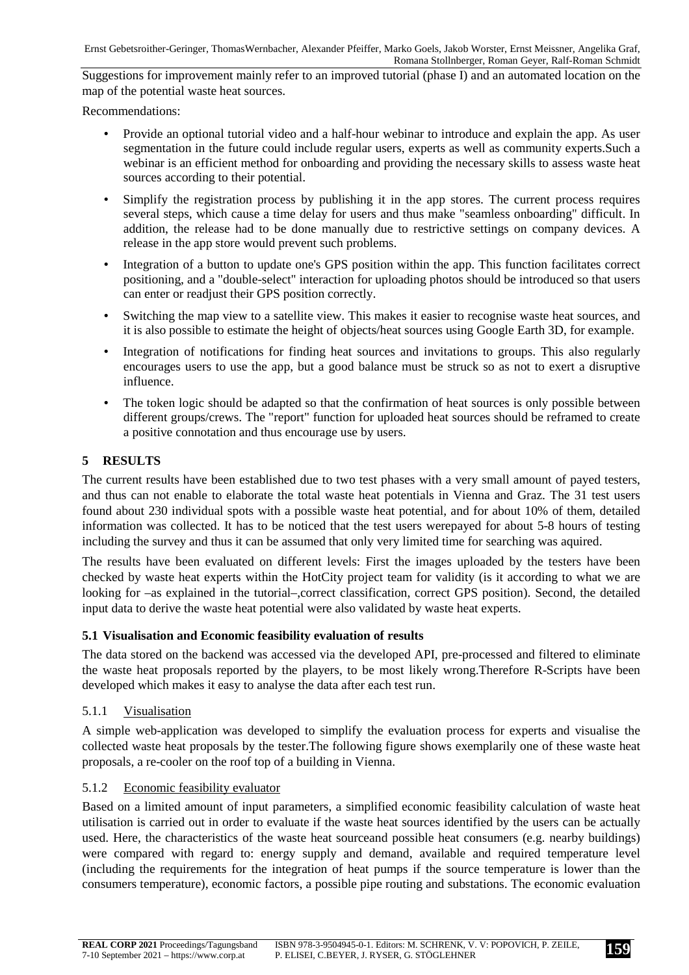Suggestions for improvement mainly refer to an improved tutorial (phase I) and an automated location on the map of the potential waste heat sources.

Recommendations:

- Provide an optional tutorial video and a half-hour webinar to introduce and explain the app. As user segmentation in the future could include regular users, experts as well as community experts.Such a webinar is an efficient method for onboarding and providing the necessary skills to assess waste heat sources according to their potential.
- Simplify the registration process by publishing it in the app stores. The current process requires several steps, which cause a time delay for users and thus make "seamless onboarding" difficult. In addition, the release had to be done manually due to restrictive settings on company devices. A release in the app store would prevent such problems.
- Integration of a button to update one's GPS position within the app. This function facilitates correct positioning, and a "double-select" interaction for uploading photos should be introduced so that users can enter or readjust their GPS position correctly.
- Switching the map view to a satellite view. This makes it easier to recognise waste heat sources, and it is also possible to estimate the height of objects/heat sources using Google Earth 3D, for example.
- Integration of notifications for finding heat sources and invitations to groups. This also regularly encourages users to use the app, but a good balance must be struck so as not to exert a disruptive influence.
- The token logic should be adapted so that the confirmation of heat sources is only possible between different groups/crews. The "report" function for uploaded heat sources should be reframed to create a positive connotation and thus encourage use by users.

# **5 RESULTS**

The current results have been established due to two test phases with a very small amount of payed testers, and thus can not enable to elaborate the total waste heat potentials in Vienna and Graz. The 31 test users found about 230 individual spots with a possible waste heat potential, and for about 10% of them, detailed information was collected. It has to be noticed that the test users werepayed for about 5-8 hours of testing including the survey and thus it can be assumed that only very limited time for searching was aquired.

The results have been evaluated on different levels: First the images uploaded by the testers have been checked by waste heat experts within the HotCity project team for validity (is it according to what we are looking for –as explained in the tutorial–,correct classification, correct GPS position). Second, the detailed input data to derive the waste heat potential were also validated by waste heat experts.

## **5.1 Visualisation and Economic feasibility evaluation of results**

The data stored on the backend was accessed via the developed API, pre-processed and filtered to eliminate the waste heat proposals reported by the players, to be most likely wrong.Therefore R-Scripts have been developed which makes it easy to analyse the data after each test run.

## 5.1.1 Visualisation

A simple web-application was developed to simplify the evaluation process for experts and visualise the collected waste heat proposals by the tester.The following figure shows exemplarily one of these waste heat proposals, a re-cooler on the roof top of a building in Vienna.

## 5.1.2 Economic feasibility evaluator

Based on a limited amount of input parameters, a simplified economic feasibility calculation of waste heat utilisation is carried out in order to evaluate if the waste heat sources identified by the users can be actually used. Here, the characteristics of the waste heat sourceand possible heat consumers (e.g. nearby buildings) were compared with regard to: energy supply and demand, available and required temperature level (including the requirements for the integration of heat pumps if the source temperature is lower than the consumers temperature), economic factors, a possible pipe routing and substations. The economic evaluation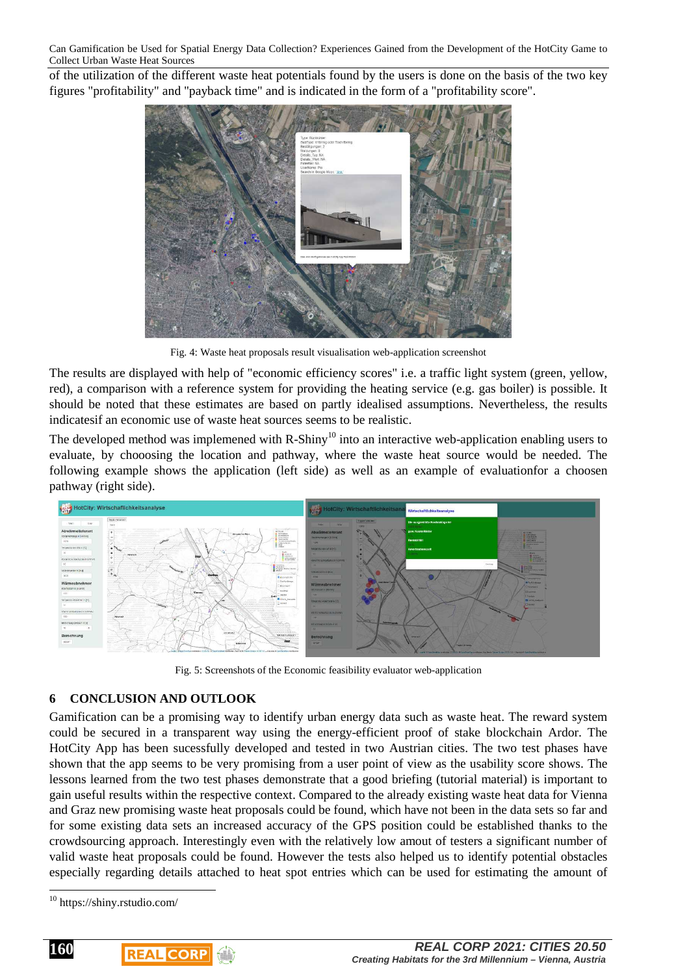of the utilization of the different waste heat potentials found by the users is done on the basis of the two key figures "profitability" and "payback time" and is indicated in the form of a "profitability score".



Fig. 4: Waste heat proposals result visualisation web-application screenshot

The results are displayed with help of "economic efficiency scores" i.e. a traffic light system (green, yellow, red), a comparison with a reference system for providing the heating service (e.g. gas boiler) is possible. It should be noted that these estimates are based on partly idealised assumptions. Nevertheless, the results indicatesif an economic use of waste heat sources seems to be realistic.

The developed method was implemened with R-Shiny<sup>10</sup> into an interactive web-application enabling users to evaluate, by chooosing the location and pathway, where the waste heat source would be needed. The following example shows the application (left side) as well as an example of evaluationfor a choosen pathway (right side).



Fig. 5: Screenshots of the Economic feasibility evaluator web-application

# **6 CONCLUSION AND OUTLOOK**

Gamification can be a promising way to identify urban energy data such as waste heat. The reward system could be secured in a transparent way using the energy-efficient proof of stake blockchain Ardor. The HotCity App has been sucessfully developed and tested in two Austrian cities. The two test phases have shown that the app seems to be very promising from a user point of view as the usability score shows. The lessons learned from the two test phases demonstrate that a good briefing (tutorial material) is important to gain useful results within the respective context. Compared to the already existing waste heat data for Vienna and Graz new promising waste heat proposals could be found, which have not been in the data sets so far and for some existing data sets an increased accuracy of the GPS position could be established thanks to the crowdsourcing approach. Interestingly even with the relatively low amout of testers a significant number of valid waste heat proposals could be found. However the tests also helped us to identify potential obstacles especially regarding details attached to heat spot entries which can be used for estimating the amount of

**160**

 $\overline{a}$ 

<sup>10</sup> https://shiny.rstudio.com/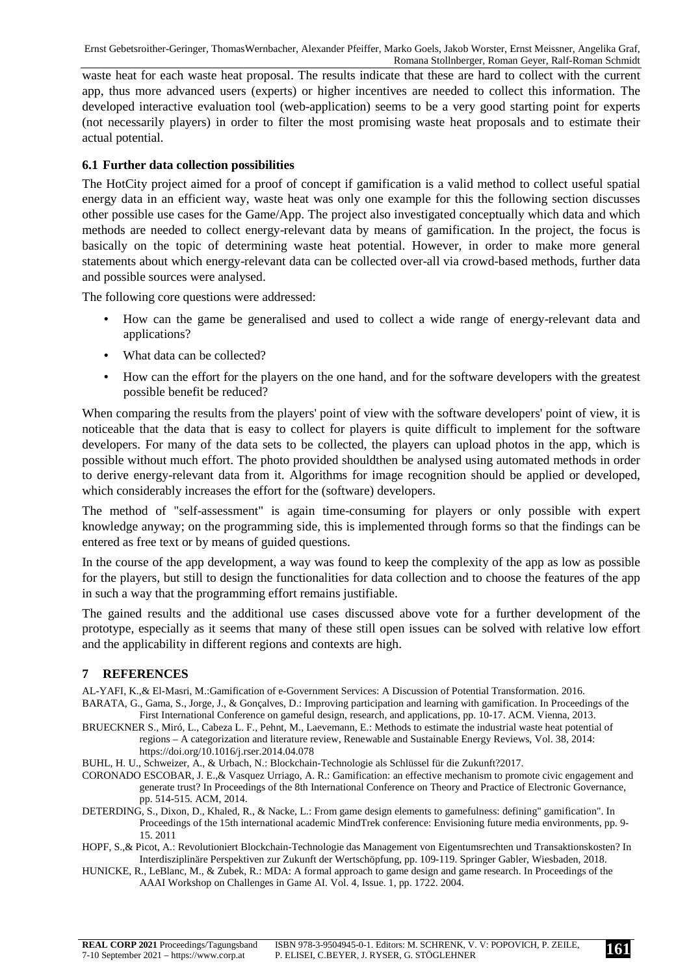waste heat for each waste heat proposal. The results indicate that these are hard to collect with the current app, thus more advanced users (experts) or higher incentives are needed to collect this information. The developed interactive evaluation tool (web-application) seems to be a very good starting point for experts (not necessarily players) in order to filter the most promising waste heat proposals and to estimate their actual potential.

#### **6.1 Further data collection possibilities**

The HotCity project aimed for a proof of concept if gamification is a valid method to collect useful spatial energy data in an efficient way, waste heat was only one example for this the following section discusses other possible use cases for the Game/App. The project also investigated conceptually which data and which methods are needed to collect energy-relevant data by means of gamification. In the project, the focus is basically on the topic of determining waste heat potential. However, in order to make more general statements about which energy-relevant data can be collected over-all via crowd-based methods, further data and possible sources were analysed.

The following core questions were addressed:

- How can the game be generalised and used to collect a wide range of energy-relevant data and applications?
- What data can be collected?
- How can the effort for the players on the one hand, and for the software developers with the greatest possible benefit be reduced?

When comparing the results from the players' point of view with the software developers' point of view, it is noticeable that the data that is easy to collect for players is quite difficult to implement for the software developers. For many of the data sets to be collected, the players can upload photos in the app, which is possible without much effort. The photo provided shouldthen be analysed using automated methods in order to derive energy-relevant data from it. Algorithms for image recognition should be applied or developed, which considerably increases the effort for the (software) developers.

The method of "self-assessment" is again time-consuming for players or only possible with expert knowledge anyway; on the programming side, this is implemented through forms so that the findings can be entered as free text or by means of guided questions.

In the course of the app development, a way was found to keep the complexity of the app as low as possible for the players, but still to design the functionalities for data collection and to choose the features of the app in such a way that the programming effort remains justifiable.

The gained results and the additional use cases discussed above vote for a further development of the prototype, especially as it seems that many of these still open issues can be solved with relative low effort and the applicability in different regions and contexts are high.

#### **7 REFERENCES**

AL-YAFI, K.,& El-Masri, M.:Gamification of e-Government Services: A Discussion of Potential Transformation. 2016. BARATA, G., Gama, S., Jorge, J., & Gonçalves, D.: Improving participation and learning with gamification. In Proceedings of the First International Conference on gameful design, research, and applications, pp. 10-17. ACM. Vienna, 2013.

BRUECKNER S., Miró, L., Cabeza L. F., Pehnt, M., Laevemann, E.: Methods to estimate the industrial waste heat potential of regions – A categorization and literature review, Renewable and Sustainable Energy Reviews, Vol. 38, 2014: https://doi.org/10.1016/j.rser.2014.04.078

BUHL, H. U., Schweizer, A., & Urbach, N.: Blockchain-Technologie als Schlüssel für die Zukunft?2017.

CORONADO ESCOBAR, J. E.,& Vasquez Urriago, A. R.: Gamification: an effective mechanism to promote civic engagement and generate trust? In Proceedings of the 8th International Conference on Theory and Practice of Electronic Governance, pp. 514-515. ACM, 2014.

DETERDING, S., Dixon, D., Khaled, R., & Nacke, L.: From game design elements to gamefulness: defining" gamification". In Proceedings of the 15th international academic MindTrek conference: Envisioning future media environments, pp. 9- 15. 2011

HOPF, S.,& Picot, A.: Revolutioniert Blockchain-Technologie das Management von Eigentumsrechten und Transaktionskosten? In Interdisziplinäre Perspektiven zur Zukunft der Wertschöpfung, pp. 109-119. Springer Gabler, Wiesbaden, 2018.

HUNICKE, R., LeBlanc, M., & Zubek, R.: MDA: A formal approach to game design and game research. In Proceedings of the AAAI Workshop on Challenges in Game AI. Vol. 4, Issue. 1, pp. 1722. 2004.